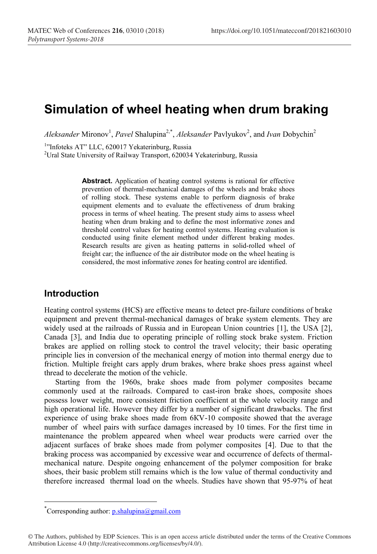# **Simulation of wheel heating when drum braking**

Aleksander Mironov<sup>1</sup>, Pavel Shalupina<sup>2,\*</sup>, Aleksander Pavlyukov<sup>2</sup>, and *Ivan* Dobychin<sup>2</sup>

<sup>1</sup>"Infoteks AT" LLC, 620017 Yekaterinburg, Russia<br><sup>2</sup>Ural State University of Railway Transport, 62003/

<sup>2</sup>Ural State University of Railway Transport, 620034 Yekaterinburg, Russia

**Abstract.** Application of heating control systems is rational for effective prevention of thermal-mechanical damages of the wheels and brake shoes of rolling stock. These systems enable to perform diagnosis of brake equipment elements and to evaluate the effectiveness of drum braking process in terms of wheel heating. The present study aims to assess wheel heating when drum braking and to define the most informative zones and threshold control values for heating control systems. Heating evaluation is conducted using finite element method under different braking modes. Research results are given as heating patterns in solid-rolled wheel of freight car; the influence of the air distributor mode on the wheel heating is considered, the most informative zones for heating control are identified.

## **Introduction**

Heating control systems (HCS) are effective means to detect pre-failure conditions of brake equipment and prevent thermal-mechanical damages of brake system elements. They are widely used at the railroads of Russia and in European Union countries [1], the USA [2], Canada [3], and India due to operating principle of rolling stock brake system. Friction brakes are applied on rolling stock to control the travel velocity; their basic operating principle lies in conversion of the mechanical energy of motion into thermal energy due to friction. Multiple freight cars apply drum brakes, where brake shoes press against wheel thread to decelerate the motion of the vehicle.

Starting from the 1960s, brake shoes made from polymer composites became commonly used at the railroads. Compared to cast-iron brake shoes, composite shoes possess lower weight, more consistent friction coefficient at the whole velocity range and high operational life. However they differ by a number of significant drawbacks. The first experience of using brake shoes made from 6КV-10 composite showed that the average number of wheel pairs with surface damages increased by 10 times. For the first time in maintenance the problem appeared when wheel wear products were carried over the adjacent surfaces of brake shoes made from polymer composites [4]. Due to that the braking process was accompanied by excessive wear and occurrence of defects of thermalmechanical nature. Despite ongoing enhancement of the polymer composition for brake shoes, their basic problem still remains which is the low value of thermal conductivity and therefore increased thermal load on the wheels. Studies have shown that 95-97% of heat

 <sup>\*</sup> <sup>\*</sup>Corresponding author: p.shalupina@gmail.com

<sup>©</sup> The Authors, published by EDP Sciences. This is an open access article distributed under the terms of the Creative Commons Attribution License 4.0 (http://creativecommons.org/licenses/by/4.0/).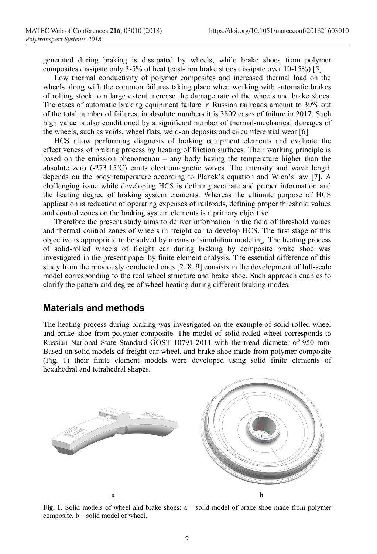generated during braking is dissipated by wheels; while brake shoes from polymer composites dissipate only 3-5% of heat (cast-iron brake shoes dissipate over 10-15%) [5].

Low thermal conductivity of polymer composites and increased thermal load on the wheels along with the common failures taking place when working with automatic brakes of rolling stock to a large extent increase the damage rate of the wheels and brake shoes. The cases of automatic braking equipment failure in Russian railroads amount to 39% out of the total number of failures, in absolute numbers it is 3809 cases of failure in 2017. Such high value is also conditioned by a significant number of thermal-mechanical damages of the wheels, such as voids, wheel flats, weld-on deposits and circumferential wear [6].

HCS allow performing diagnosis of braking equipment elements and evaluate the effectiveness of braking process by heating of friction surfaces. Their working principle is based on the emission phenomenon – any body having the temperature higher than the absolute zero (-273.15ºС) emits electromagnetic waves. The intensity and wave length depends on the body temperature according to Planck's equation and Wien's law [7]. A challenging issue while developing HCS is defining accurate and proper information and the heating degree of braking system elements. Whereas the ultimate purpose of HCS application is reduction of operating expenses of railroads, defining proper threshold values and control zones on the braking system elements is a primary objective.

Therefore the present study aims to deliver information in the field of threshold values and thermal control zones of wheels in freight car to develop HCS. The first stage of this objective is appropriate to be solved by means of simulation modeling. The heating process of solid-rolled wheels of freight car during braking by composite brake shoe was investigated in the present paper by finite element analysis. The essential difference of this study from the previously conducted ones [2, 8, 9] consists in the development of full-scale model corresponding to the real wheel structure and brake shoe. Such approach enables to clarify the pattern and degree of wheel heating during different braking modes.

#### **Materials and methods**

The heating process during braking was investigated on the example of solid-rolled wheel and brake shoe from polymer composite. The model of solid-rolled wheel corresponds to Russian National State Standard GOST 10791-2011 with the tread diameter of 950 mm. Based on solid models of freight car wheel, and brake shoe made from polymer composite (Fig. 1) their finite element models were developed using solid finite elements of hexahedral and tetrahedral shapes.



**Fig. 1.** Solid models of wheel and brake shoes: a – solid model of brake shoe made from polymer composite, b – solid model of wheel.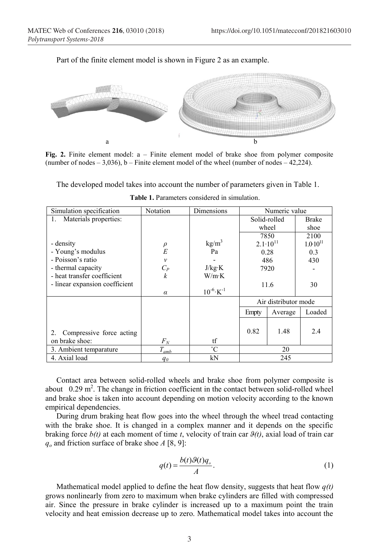



**Fig. 2.** Finite element model:  $a$  – Finite element model of brake shoe from polymer composite (number of nodes  $-3.036$ ), b – Finite element model of the wheel (number of nodes  $-42.224$ ).

The developed model takes into account the number of parameters given in Table 1.

| Simulation specification       | Notation         | Dimensions                | Numeric value        |         |                     |
|--------------------------------|------------------|---------------------------|----------------------|---------|---------------------|
| Materials properties:<br>1.    |                  |                           | Solid-rolled         |         | Brake               |
|                                |                  |                           |                      | wheel   | shoe                |
|                                |                  |                           | 7850                 |         | 2100                |
| - density                      | $^{\rho}_{E}$    | kg/m <sup>3</sup>         | $2.1 \cdot 10^{11}$  |         | $1.0 \cdot 10^{11}$ |
| - Young's modulus              |                  | Pa                        | 0.28                 |         | 0.3                 |
| - Poisson's ratio              | $\mathcal{V}$    |                           | 486                  |         | 430                 |
| - thermal capacity             | $C_P$            | J/kg·K                    | 7920                 |         |                     |
| - heat transfer coefficient    | $\boldsymbol{k}$ | W/m K                     |                      |         |                     |
| - linear expansion coefficient |                  |                           | 11.6<br>30           |         |                     |
|                                | $\alpha$         | $10^{-6}$ K <sup>-1</sup> |                      |         |                     |
|                                |                  |                           | Air distributor mode |         |                     |
|                                |                  |                           | Empty                | Average | Loaded              |
|                                |                  |                           |                      |         |                     |
| Compressive force acting<br>2. |                  |                           | 0.82                 | 1.48    | 2.4                 |
| on brake shoe:                 | $F_N$            | tf                        |                      |         |                     |
| 3. Ambient temparature         | $T_{amb}$        | $^{\circ}C$               | 20                   |         |                     |
| 4. Axial load                  | $q_{\theta}$     | kN                        | 245                  |         |                     |

**Table 1.** Parameters considered in simulation.

Contact area between solid-rolled wheels and brake shoe from polymer composite is about  $0.29 \text{ m}^2$ . The change in friction coefficient in the contact between solid-rolled wheel and brake shoe is taken into account depending on motion velocity according to the known empirical dependencies.

During drum braking heat flow goes into the wheel through the wheel tread contacting with the brake shoe. It is changed in a complex manner and it depends on the specific braking force *b(t)* at each moment of time *t*, velocity of train car *ϑ(t)*, axial load of train car *qo* and friction surface of brake shoe *A* [8, 9]:

$$
q(t) = \frac{b(t)\mathcal{G}(t)q_o}{A}.\tag{1}
$$

Mathematical model applied to define the heat flow density, suggests that heat flow *q(t)*  grows nonlinearly from zero to maximum when brake cylinders are filled with compressed air. Since the pressure in brake cylinder is increased up to a maximum point the train velocity and heat emission decrease up to zero. Mathematical model takes into account the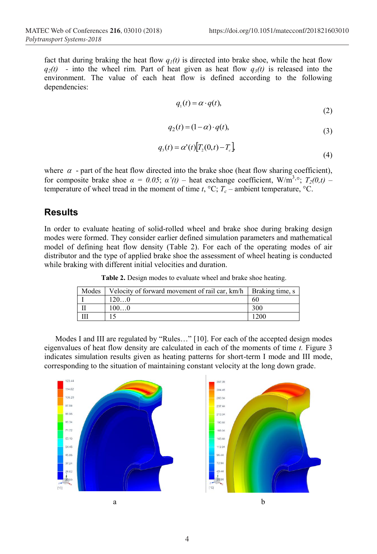fact that during braking the heat flow  $q_1(t)$  is directed into brake shoe, while the heat flow  $q_2(t)$  - into the wheel rim. Part of heat given as heat flow  $q_3(t)$  is released into the environment. The value of each heat flow is defined according to the following dependencies:

$$
q_1(t) = \alpha \cdot q(t),\tag{2}
$$

$$
q_2(t) = (1 - \alpha) \cdot q(t),\tag{3}
$$

$$
q_3(t) = \alpha'(t) [T_2(0,t) - T_c] \tag{4}
$$

where  $\alpha$  - part of the heat flow directed into the brake shoe (heat flow sharing coefficient), for composite brake shoe  $\alpha = 0.05$ ;  $\alpha'(t)$  – heat exchange coefficient, W/m<sup>3</sup>.°;  $T_2(0,t)$  – temperature of wheel tread in the moment of time  $t$ ,  ${}^{\circ}C$ ;  $T_c$  – ambient temperature,  ${}^{\circ}C$ .

#### **Results**

In order to evaluate heating of solid-rolled wheel and brake shoe during braking design modes were formed. They consider earlier defined simulation parameters and mathematical model of defining heat flow density (Table 2). For each of the operating modes of air distributor and the type of applied brake shoe the assessment of wheel heating is conducted while braking with different initial velocities and duration.

**Table 2.** Design modes to evaluate wheel and brake shoe heating.

| Modes | Velocity of forward movement of rail car, km/h   Braking time, s |      |
|-------|------------------------------------------------------------------|------|
|       | 1200                                                             | 60   |
|       | 1000                                                             | 300  |
|       |                                                                  | 1200 |

Modes I and III are regulated by "Rules…" [10]. For each of the accepted design modes eigenvalues of heat flow density are calculated in each of the moments of time *t.* Figure 3 indicates simulation results given as heating patterns for short-term I mode and III mode, corresponding to the situation of maintaining constant velocity at the long down grade.



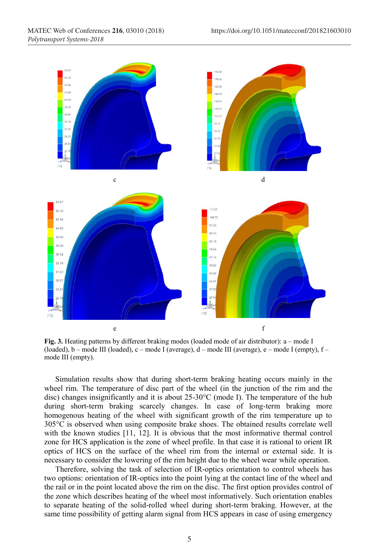

**Fig. 3.** Heating patterns by different braking modes (loaded mode of air distributor): a – mode I (loaded), b – mode III (loaded), c – mode I (average), d – mode III (average), e – mode I (empty), f – mode III (empty).

Simulation results show that during short-term braking heating occurs mainly in the wheel rim. The temperature of disc part of the wheel (in the junction of the rim and the disc) changes insignificantly and it is about 25-30°С (mode I). The temperature of the hub during short-term braking scarcely changes. In case of long-term braking more homogenous heating of the wheel with significant growth of the rim temperature up to 305°С is observed when using composite brake shoes. The obtained results correlate well with the known studies [11, 12]. It is obvious that the most informative thermal control zone for HCS application is the zone of wheel profile. In that case it is rational to orient IR optics of HCS on the surface of the wheel rim from the internal or external side. It is necessary to consider the lowering of the rim height due to the wheel wear while operation.

Therefore, solving the task of selection of IR-optics orientation to control wheels has two options: orientation of IR-optics into the point lying at the contact line of the wheel and the rail or in the point located above the rim on the disc. The first option provides control of the zone which describes heating of the wheel most informatively. Such orientation enables to separate heating of the solid-rolled wheel during short-term braking. However, at the same time possibility of getting alarm signal from HCS appears in case of using emergency